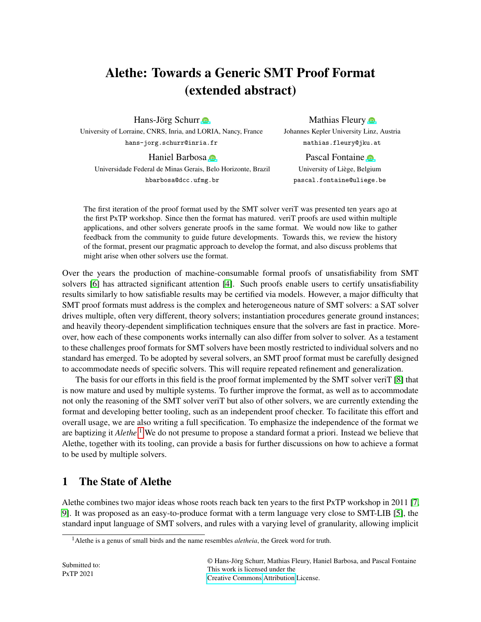# Alethe: Towards a Generic SMT Proof Format (extended abstract)

Hans-Jörg Schurr **■** 

University of Lorraine, CNRS, Inria, and LORIA, Nancy, France hans-jorg.schurr@inria.fr

Haniel Barbosa **D** 

Mathias Fleury **o** Johannes Kepler University Linz, Austria mathias.fleury@jku.at

Pascal Fontaine **D** University of Liege, Belgium ` pascal.fontaine@uliege.be

Universidade Federal de Minas Gerais, Belo Horizonte, Brazil hbarbosa@dcc.ufmg.br

The first iteration of the proof format used by the SMT solver veriT was presented ten years ago at

the first PxTP workshop. Since then the format has matured. veriT proofs are used within multiple applications, and other solvers generate proofs in the same format. We would now like to gather feedback from the community to guide future developments. Towards this, we review the history of the format, present our pragmatic approach to develop the format, and also discuss problems that might arise when other solvers use the format.

Over the years the production of machine-consumable formal proofs of unsatisfiability from SMT solvers [\[6\]](#page-5-0) has attracted significant attention [\[4\]](#page-5-1). Such proofs enable users to certify unsatisfiability results similarly to how satisfiable results may be certified via models. However, a major difficulty that SMT proof formats must address is the complex and heterogeneous nature of SMT solvers: a SAT solver drives multiple, often very different, theory solvers; instantiation procedures generate ground instances; and heavily theory-dependent simplification techniques ensure that the solvers are fast in practice. Moreover, how each of these components works internally can also differ from solver to solver. As a testament to these challenges proof formats for SMT solvers have been mostly restricted to individual solvers and no standard has emerged. To be adopted by several solvers, an SMT proof format must be carefully designed to accommodate needs of specific solvers. This will require repeated refinement and generalization.

The basis for our efforts in this field is the proof format implemented by the SMT solver veriT [\[8\]](#page-5-2) that is now mature and used by multiple systems. To further improve the format, as well as to accommodate not only the reasoning of the SMT solver veriT but also of other solvers, we are currently extending the format and developing better tooling, such as an independent proof checker. To facilitate this effort and overall usage, we are also writing a full specification. To emphasize the independence of the format we are baptizing it *Alethe*. [1](#page-0-0) We do not presume to propose a standard format a priori. Instead we believe that Alethe, together with its tooling, can provide a basis for further discussions on how to achieve a format to be used by multiple solvers.

## 1 The State of Alethe

Alethe combines two major ideas whose roots reach back ten years to the first PxTP workshop in 2011 [\[7,](#page-5-3) [9\]](#page-5-4). It was proposed as an easy-to-produce format with a term language very close to SMT-LIB [\[5\]](#page-5-5), the standard input language of SMT solvers, and rules with a varying level of granularity, allowing implicit

© Hans-Jorg Schurr, Mathias Fleury, Haniel Barbosa, and Pascal Fontaine ¨ This work is licensed under the [Creative Commons](https://creativecommons.org) [Attribution](https://creativecommons.org/licenses/by/4.0/) License.

<span id="page-0-0"></span><sup>1</sup>Alethe is a genus of small birds and the name resembles *aletheia*, the Greek word for truth.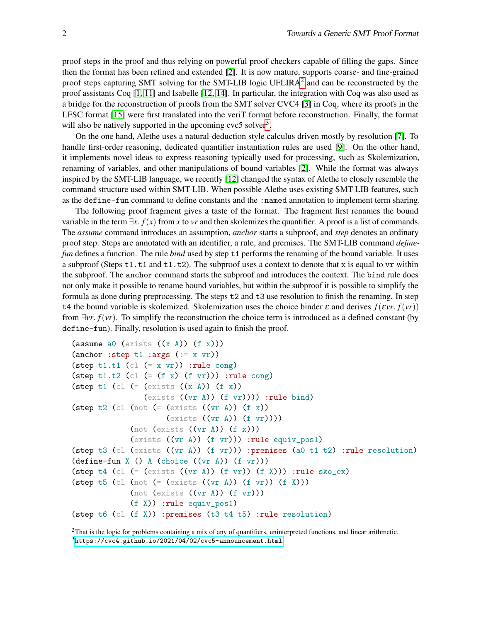proof steps in the proof and thus relying on powerful proof checkers capable of filling the gaps. Since then the format has been refined and extended [\[2\]](#page-5-6). It is now mature, supports coarse- and fine-grained proof steps capturing SMT solving for the SMT-LIB logic UFLIRA<sup>[2](#page-1-0)</sup> and can be reconstructed by the proof assistants Coq [\[1,](#page-4-0) [11\]](#page-5-7) and Isabelle [\[12,](#page-5-8) [14\]](#page-5-9). In particular, the integration with Coq was also used as a bridge for the reconstruction of proofs from the SMT solver CVC4 [\[3\]](#page-5-10) in Coq, where its proofs in the LFSC format [\[15\]](#page-5-11) were first translated into the veriT format before reconstruction. Finally, the format will also be natively supported in the upcoming  $\text{cyc5}$  solver<sup>[3](#page-1-1)</sup>.

On the one hand, Alethe uses a natural-deduction style calculus driven mostly by resolution [\[7\]](#page-5-3). To handle first-order reasoning, dedicated quantifier instantiation rules are used [\[9\]](#page-5-4). On the other hand, it implements novel ideas to express reasoning typically used for processing, such as Skolemization, renaming of variables, and other manipulations of bound variables [\[2\]](#page-5-6). While the format was always inspired by the SMT-LIB language, we recently [\[12\]](#page-5-8) changed the syntax of Alethe to closely resemble the command structure used within SMT-LIB. When possible Alethe uses existing SMT-LIB features, such as the define-fun command to define constants and the :named annotation to implement term sharing.

The following proof fragment gives a taste of the format. The fragment first renames the bound variable in the term  $\exists x$ . *f*(*x*) from *x* to *vr* and then skolemizes the quantifier. A proof is a list of commands. The *assume* command introduces an assumption, *anchor* starts a subproof, and *step* denotes an ordinary proof step. Steps are annotated with an identifier, a rule, and premises. The SMT-LIB command *definefun* defines a function. The rule *bind* used by step t1 performs the renaming of the bound variable. It uses a subproof (Steps  $t1. t1$  and  $t1. t2$ ). The subproof uses a context to denote that x is equal to vr within the subproof. The anchor command starts the subproof and introduces the context. The bind rule does not only make it possible to rename bound variables, but within the subproof it is possible to simplify the formula as done during preprocessing. The steps t2 and t3 use resolution to finish the renaming. In step t4 the bound variable is skolemized. Skolemization uses the choice binder  $\varepsilon$  and derives  $f(\varepsilon v r, f(vr))$ from ∃*vr*. *f*(*vr*). To simplify the reconstruction the choice term is introduced as a defined constant (by define-fun). Finally, resolution is used again to finish the proof.

```
(assume a0 (exists ((x A)) (f x)))
(anchor : step t1 : args (:= x yr))(step t1.t1 (cl (= x yr)) :rule cong)
(step t1.t2 (cl (= (f x) (f v r))) :rule cong)
(step t1 (cl ( (exists ((x A)) (f x))(exists ((vr A)) (f v r)))):rule bind)
(step t2 (cl (not ( (exists ((vr A)) (f x))(exists ((vr A)) (f vr)))(\text{not (exists ((vr A)) (f x)}))(exists ((vr A)) (f vr))) :rule equiv_pos1)
(step t3 (cl (exists ((vr A)) (f vr))) :premises (a0 t1 t2) :rule resolution)
(define-fun X () A (choice ((vr A)) (f vr)))
(step t4 (cl (= (exists ((vr A)) (f vr)) (f X))) :rule sko_ex)
(\text{step } t5 \text{ (cl (not (= (exists ((vr A)) (f v r)) (f X)))(\text{not (exists ((vr A)) (f vr)}))(f X)) :rule equiv_pos1)
(step t6 (cl (f X)) :premises (t3 t4 t5) :rule resolution)
```
<span id="page-1-1"></span><span id="page-1-0"></span> $2$ That is the logic for problems containing a mix of any of quantifiers, uninterpreted functions, and linear arithmetic. <sup>3</sup><https://cvc4.github.io/2021/04/02/cvc5-announcement.html>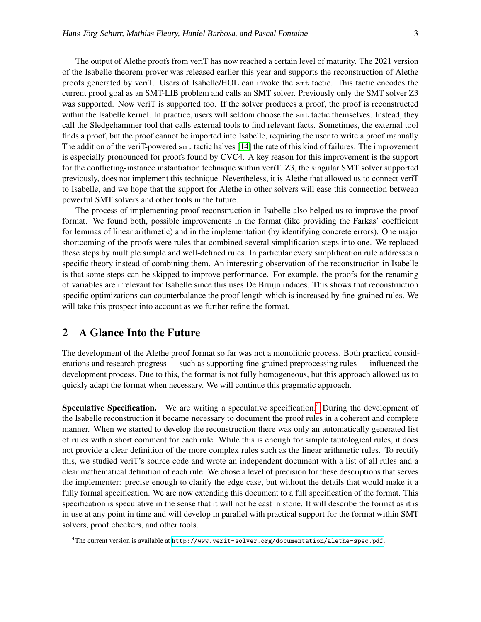The output of Alethe proofs from veriT has now reached a certain level of maturity. The 2021 version of the Isabelle theorem prover was released earlier this year and supports the reconstruction of Alethe proofs generated by veriT. Users of Isabelle/HOL can invoke the smt tactic. This tactic encodes the current proof goal as an SMT-LIB problem and calls an SMT solver. Previously only the SMT solver Z3 was supported. Now veriT is supported too. If the solver produces a proof, the proof is reconstructed within the Isabelle kernel. In practice, users will seldom choose the smt tactic themselves. Instead, they call the Sledgehammer tool that calls external tools to find relevant facts. Sometimes, the external tool finds a proof, but the proof cannot be imported into Isabelle, requiring the user to write a proof manually. The addition of the veriT-powered smt tactic halves [\[14\]](#page-5-9) the rate of this kind of failures. The improvement is especially pronounced for proofs found by CVC4. A key reason for this improvement is the support for the conflicting-instance instantiation technique within veriT. Z3, the singular SMT solver supported previously, does not implement this technique. Nevertheless, it is Alethe that allowed us to connect veriT to Isabelle, and we hope that the support for Alethe in other solvers will ease this connection between powerful SMT solvers and other tools in the future.

The process of implementing proof reconstruction in Isabelle also helped us to improve the proof format. We found both, possible improvements in the format (like providing the Farkas' coefficient for lemmas of linear arithmetic) and in the implementation (by identifying concrete errors). One major shortcoming of the proofs were rules that combined several simplification steps into one. We replaced these steps by multiple simple and well-defined rules. In particular every simplification rule addresses a specific theory instead of combining them. An interesting observation of the reconstruction in Isabelle is that some steps can be skipped to improve performance. For example, the proofs for the renaming of variables are irrelevant for Isabelle since this uses De Bruijn indices. This shows that reconstruction specific optimizations can counterbalance the proof length which is increased by fine-grained rules. We will take this prospect into account as we further refine the format.

#### 2 A Glance Into the Future

The development of the Alethe proof format so far was not a monolithic process. Both practical considerations and research progress — such as supporting fine-grained preprocessing rules — influenced the development process. Due to this, the format is not fully homogeneous, but this approach allowed us to quickly adapt the format when necessary. We will continue this pragmatic approach.

**Speculative Specification.** We are writing a speculative specification.<sup>[4](#page-2-0)</sup> During the development of the Isabelle reconstruction it became necessary to document the proof rules in a coherent and complete manner. When we started to develop the reconstruction there was only an automatically generated list of rules with a short comment for each rule. While this is enough for simple tautological rules, it does not provide a clear definition of the more complex rules such as the linear arithmetic rules. To rectify this, we studied veriT's source code and wrote an independent document with a list of all rules and a clear mathematical definition of each rule. We chose a level of precision for these descriptions that serves the implementer: precise enough to clarify the edge case, but without the details that would make it a fully formal specification. We are now extending this document to a full specification of the format. This specification is speculative in the sense that it will not be cast in stone. It will describe the format as it is in use at any point in time and will develop in parallel with practical support for the format within SMT solvers, proof checkers, and other tools.

<span id="page-2-0"></span><sup>4</sup>The current version is available at <http://www.verit-solver.org/documentation/alethe-spec.pdf>.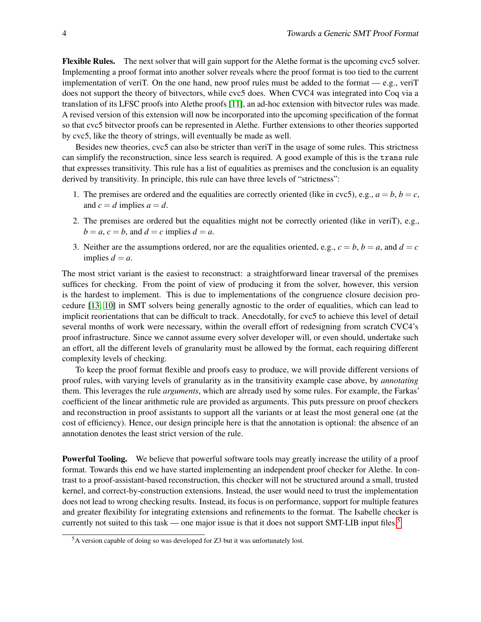Flexible Rules. The next solver that will gain support for the Alethe format is the upcoming cvc5 solver. Implementing a proof format into another solver reveals where the proof format is too tied to the current implementation of verity. On the one hand, new proof rules must be added to the format — e.g., verity does not support the theory of bitvectors, while cvc5 does. When CVC4 was integrated into Coq via a translation of its LFSC proofs into Alethe proofs [\[11\]](#page-5-7), an ad-hoc extension with bitvector rules was made. A revised version of this extension will now be incorporated into the upcoming specification of the format so that cvc5 bitvector proofs can be represented in Alethe. Further extensions to other theories supported by cvc5, like the theory of strings, will eventually be made as well.

Besides new theories, cvc5 can also be stricter than veriT in the usage of some rules. This strictness can simplify the reconstruction, since less search is required. A good example of this is the trans rule that expresses transitivity. This rule has a list of equalities as premises and the conclusion is an equality derived by transitivity. In principle, this rule can have three levels of "strictness":

- 1. The premises are ordered and the equalities are correctly oriented (like in cvc5), e.g.,  $a = b$ ,  $b = c$ , and  $c = d$  implies  $a = d$ .
- 2. The premises are ordered but the equalities might not be correctly oriented (like in veriT), e.g.,  $b = a, c = b$ , and  $d = c$  implies  $d = a$ .
- 3. Neither are the assumptions ordered, nor are the equalities oriented, e.g.,  $c = b$ ,  $b = a$ , and  $d = c$ implies  $d = a$ .

The most strict variant is the easiest to reconstruct: a straightforward linear traversal of the premises suffices for checking. From the point of view of producing it from the solver, however, this version is the hardest to implement. This is due to implementations of the congruence closure decision procedure [\[13,](#page-5-12) [10\]](#page-5-13) in SMT solvers being generally agnostic to the order of equalities, which can lead to implicit reorientations that can be difficult to track. Anecdotally, for cvc5 to achieve this level of detail several months of work were necessary, within the overall effort of redesigning from scratch CVC4's proof infrastructure. Since we cannot assume every solver developer will, or even should, undertake such an effort, all the different levels of granularity must be allowed by the format, each requiring different complexity levels of checking.

To keep the proof format flexible and proofs easy to produce, we will provide different versions of proof rules, with varying levels of granularity as in the transitivity example case above, by *annotating* them. This leverages the rule *arguments*, which are already used by some rules. For example, the Farkas' coefficient of the linear arithmetic rule are provided as arguments. This puts pressure on proof checkers and reconstruction in proof assistants to support all the variants or at least the most general one (at the cost of efficiency). Hence, our design principle here is that the annotation is optional: the absence of an annotation denotes the least strict version of the rule.

Powerful Tooling. We believe that powerful software tools may greatly increase the utility of a proof format. Towards this end we have started implementing an independent proof checker for Alethe. In contrast to a proof-assistant-based reconstruction, this checker will not be structured around a small, trusted kernel, and correct-by-construction extensions. Instead, the user would need to trust the implementation does not lead to wrong checking results. Instead, its focus is on performance, support for multiple features and greater flexibility for integrating extensions and refinements to the format. The Isabelle checker is currently not suited to this task — one major issue is that it does not support SMT-LIB input files.<sup>[5](#page-3-0)</sup>

<span id="page-3-0"></span><sup>5</sup>A version capable of doing so was developed for Z3 but it was unfortunately lost.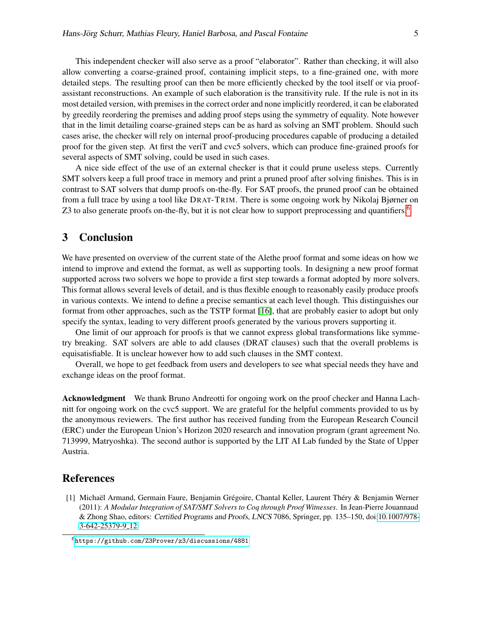This independent checker will also serve as a proof "elaborator". Rather than checking, it will also allow converting a coarse-grained proof, containing implicit steps, to a fine-grained one, with more detailed steps. The resulting proof can then be more efficiently checked by the tool itself or via proofassistant reconstructions. An example of such elaboration is the transitivity rule. If the rule is not in its most detailed version, with premises in the correct order and none implicitly reordered, it can be elaborated by greedily reordering the premises and adding proof steps using the symmetry of equality. Note however that in the limit detailing coarse-grained steps can be as hard as solving an SMT problem. Should such cases arise, the checker will rely on internal proof-producing procedures capable of producing a detailed proof for the given step. At first the veriT and cvc5 solvers, which can produce fine-grained proofs for several aspects of SMT solving, could be used in such cases.

A nice side effect of the use of an external checker is that it could prune useless steps. Currently SMT solvers keep a full proof trace in memory and print a pruned proof after solving finishes. This is in contrast to SAT solvers that dump proofs on-the-fly. For SAT proofs, the pruned proof can be obtained from a full trace by using a tool like DRAT-TR IM. There is some ongoing work by Nikolaj Bjørner on Z3 to also generate proofs on-the-fly, but it is not clear how to support preprocessing and quantifiers.<sup>[6](#page-4-1)</sup>

#### 3 Conclusion

We have presented on overview of the current state of the Alethe proof format and some ideas on how we intend to improve and extend the format, as well as supporting tools. In designing a new proof format supported across two solvers we hope to provide a first step towards a format adopted by more solvers. This format allows several levels of detail, and is thus flexible enough to reasonably easily produce proofs in various contexts. We intend to define a precise semantics at each level though. This distinguishes our format from other approaches, such as the TSTP format [\[16\]](#page-5-14), that are probably easier to adopt but only specify the syntax, leading to very different proofs generated by the various provers supporting it.

One limit of our approach for proofs is that we cannot express global transformations like symmetry breaking. SAT solvers are able to add clauses (DRAT clauses) such that the overall problems is equisatisfiable. It is unclear however how to add such clauses in the SMT context.

Overall, we hope to get feedback from users and developers to see what special needs they have and exchange ideas on the proof format.

Acknowledgment We thank Bruno Andreotti for ongoing work on the proof checker and Hanna Lachnitt for ongoing work on the cvc5 support. We are grateful for the helpful comments provided to us by the anonymous reviewers. The first author has received funding from the European Research Council (ERC) under the European Union's Horizon 2020 research and innovation program (grant agreement No. 713999, Matryoshka). The second author is supported by the LIT AI Lab funded by the State of Upper Austria.

### References

<span id="page-4-0"></span>[1] Michaël Armand, Germain Faure, Benjamin Grégoire, Chantal Keller, Laurent Théry & Benjamin Werner (2011): *A Modular Integration of SAT/SMT Solvers to Coq through Proof Witnesses*. In Jean-Pierre Jouannaud & Zhong Shao, editors: Certified Programs and Proofs, LNCS 7086, Springer, pp. 135–150, doi[:10.1007/978-](http://dx.doi.org/10.1007/978-3-642-25379-9_12) [3-642-25379-9](http://dx.doi.org/10.1007/978-3-642-25379-9_12) 12.

<span id="page-4-1"></span><sup>6</sup><https://github.com/Z3Prover/z3/discussions/4881>